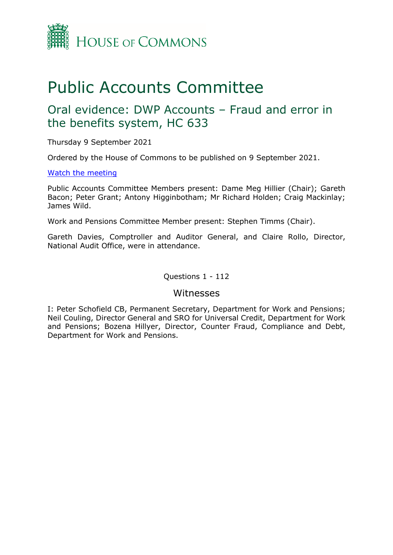

# Public Accounts Committee

## Oral evidence: DWP Accounts – Fraud and error in the benefits system, HC 633

Thursday 9 September 2021

Ordered by the House of Commons to be published on 9 September 2021.

#### [Watch the meeting](https://parliamentlive.tv/Event/Index/8b7cf411-7a30-4562-8e91-4c9cce8f46de)

Public Accounts Committee Members present: Dame Meg Hillier (Chair); Gareth Bacon; Peter Grant; Antony Higginbotham; Mr Richard Holden; Craig Mackinlay; James Wild.

Work and Pensions Committee Member present: Stephen Timms (Chair).

Gareth Davies, Comptroller and Auditor General, and Claire Rollo, Director, National Audit Office, were in attendance.

Questions 1 - 112

#### Witnesses

I: Peter Schofield CB, Permanent Secretary, Department for Work and Pensions; Neil Couling, Director General and SRO for Universal Credit, Department for Work and Pensions; Bozena Hillyer, Director, Counter Fraud, Compliance and Debt, Department for Work and Pensions.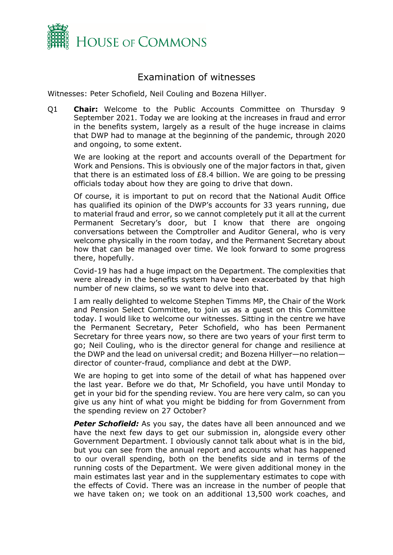

### Examination of witnesses

Witnesses: Peter Schofield, Neil Couling and Bozena Hillyer.

Q1 **Chair:** Welcome to the Public Accounts Committee on Thursday 9 September 2021. Today we are looking at the increases in fraud and error in the benefits system, largely as a result of the huge increase in claims that DWP had to manage at the beginning of the pandemic, through 2020 and ongoing, to some extent.

We are looking at the report and accounts overall of the Department for Work and Pensions. This is obviously one of the major factors in that, given that there is an estimated loss of £8.4 billion. We are going to be pressing officials today about how they are going to drive that down.

Of course, it is important to put on record that the National Audit Office has qualified its opinion of the DWP's accounts for 33 years running, due to material fraud and error, so we cannot completely put it all at the current Permanent Secretary's door, but I know that there are ongoing conversations between the Comptroller and Auditor General, who is very welcome physically in the room today, and the Permanent Secretary about how that can be managed over time. We look forward to some progress there, hopefully.

Covid-19 has had a huge impact on the Department. The complexities that were already in the benefits system have been exacerbated by that high number of new claims, so we want to delve into that.

I am really delighted to welcome Stephen Timms MP, the Chair of the Work and Pension Select Committee, to join us as a guest on this Committee today. I would like to welcome our witnesses. Sitting in the centre we have the Permanent Secretary, Peter Schofield, who has been Permanent Secretary for three years now, so there are two years of your first term to go; Neil Couling, who is the director general for change and resilience at the DWP and the lead on universal credit; and Bozena Hillyer—no relation director of counter-fraud, compliance and debt at the DWP.

We are hoping to get into some of the detail of what has happened over the last year. Before we do that, Mr Schofield, you have until Monday to get in your bid for the spending review. You are here very calm, so can you give us any hint of what you might be bidding for from Government from the spending review on 27 October?

**Peter Schofield:** As you say, the dates have all been announced and we have the next few days to get our submission in, alongside every other Government Department. I obviously cannot talk about what is in the bid, but you can see from the annual report and accounts what has happened to our overall spending, both on the benefits side and in terms of the running costs of the Department. We were given additional money in the main estimates last year and in the supplementary estimates to cope with the effects of Covid. There was an increase in the number of people that we have taken on; we took on an additional 13,500 work coaches, and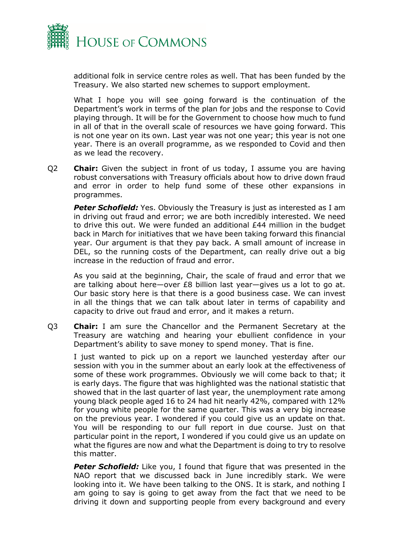

additional folk in service centre roles as well. That has been funded by the Treasury. We also started new schemes to support employment.

What I hope you will see going forward is the continuation of the Department's work in terms of the plan for jobs and the response to Covid playing through. It will be for the Government to choose how much to fund in all of that in the overall scale of resources we have going forward. This is not one year on its own. Last year was not one year; this year is not one year. There is an overall programme, as we responded to Covid and then as we lead the recovery.

Q2 **Chair:** Given the subject in front of us today, I assume you are having robust conversations with Treasury officials about how to drive down fraud and error in order to help fund some of these other expansions in programmes.

**Peter Schofield:** Yes. Obviously the Treasury is just as interested as I am in driving out fraud and error; we are both incredibly interested. We need to drive this out. We were funded an additional £44 million in the budget back in March for initiatives that we have been taking forward this financial year. Our argument is that they pay back. A small amount of increase in DEL, so the running costs of the Department, can really drive out a big increase in the reduction of fraud and error.

As you said at the beginning, Chair, the scale of fraud and error that we are talking about here—over £8 billion last year—gives us a lot to go at. Our basic story here is that there is a good business case. We can invest in all the things that we can talk about later in terms of capability and capacity to drive out fraud and error, and it makes a return.

Q3 **Chair:** I am sure the Chancellor and the Permanent Secretary at the Treasury are watching and hearing your ebullient confidence in your Department's ability to save money to spend money. That is fine.

I just wanted to pick up on a report we launched yesterday after our session with you in the summer about an early look at the effectiveness of some of these work programmes. Obviously we will come back to that; it is early days. The figure that was highlighted was the national statistic that showed that in the last quarter of last year, the unemployment rate among young black people aged 16 to 24 had hit nearly 42%, compared with 12% for young white people for the same quarter. This was a very big increase on the previous year. I wondered if you could give us an update on that. You will be responding to our full report in due course. Just on that particular point in the report, I wondered if you could give us an update on what the figures are now and what the Department is doing to try to resolve this matter.

**Peter Schofield:** Like you, I found that figure that was presented in the NAO report that we discussed back in June incredibly stark. We were looking into it. We have been talking to the ONS. It is stark, and nothing I am going to say is going to get away from the fact that we need to be driving it down and supporting people from every background and every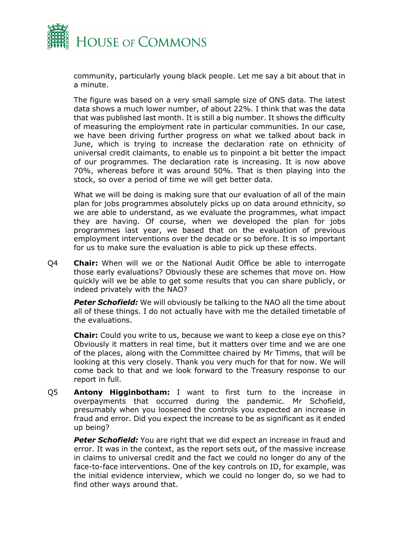

community, particularly young black people. Let me say a bit about that in a minute.

The figure was based on a very small sample size of ONS data. The latest data shows a much lower number, of about 22%. I think that was the data that was published last month. It is still a big number. It shows the difficulty of measuring the employment rate in particular communities. In our case, we have been driving further progress on what we talked about back in June, which is trying to increase the declaration rate on ethnicity of universal credit claimants, to enable us to pinpoint a bit better the impact of our programmes. The declaration rate is increasing. It is now above 70%, whereas before it was around 50%. That is then playing into the stock, so over a period of time we will get better data.

What we will be doing is making sure that our evaluation of all of the main plan for jobs programmes absolutely picks up on data around ethnicity, so we are able to understand, as we evaluate the programmes, what impact they are having. Of course, when we developed the plan for jobs programmes last year, we based that on the evaluation of previous employment interventions over the decade or so before. It is so important for us to make sure the evaluation is able to pick up these effects.

Q4 **Chair:** When will we or the National Audit Office be able to interrogate those early evaluations? Obviously these are schemes that move on. How quickly will we be able to get some results that you can share publicly, or indeed privately with the NAO?

**Peter Schofield:** We will obviously be talking to the NAO all the time about all of these things. I do not actually have with me the detailed timetable of the evaluations.

**Chair:** Could you write to us, because we want to keep a close eye on this? Obviously it matters in real time, but it matters over time and we are one of the places, along with the Committee chaired by Mr Timms, that will be looking at this very closely. Thank you very much for that for now. We will come back to that and we look forward to the Treasury response to our report in full.

Q5 **Antony Higginbotham:** I want to first turn to the increase in overpayments that occurred during the pandemic. Mr Schofield, presumably when you loosened the controls you expected an increase in fraud and error. Did you expect the increase to be as significant as it ended up being?

**Peter Schofield:** You are right that we did expect an increase in fraud and error. It was in the context, as the report sets out, of the massive increase in claims to universal credit and the fact we could no longer do any of the face-to-face interventions. One of the key controls on ID, for example, was the initial evidence interview, which we could no longer do, so we had to find other ways around that.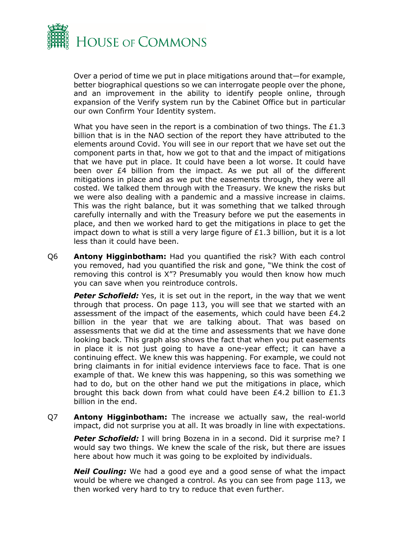

Over a period of time we put in place mitigations around that—for example, better biographical questions so we can interrogate people over the phone, and an improvement in the ability to identify people online, through expansion of the Verify system run by the Cabinet Office but in particular our own Confirm Your Identity system.

What you have seen in the report is a combination of two things. The £1.3 billion that is in the NAO section of the report they have attributed to the elements around Covid. You will see in our report that we have set out the component parts in that, how we got to that and the impact of mitigations that we have put in place. It could have been a lot worse. It could have been over £4 billion from the impact. As we put all of the different mitigations in place and as we put the easements through, they were all costed. We talked them through with the Treasury. We knew the risks but we were also dealing with a pandemic and a massive increase in claims. This was the right balance, but it was something that we talked through carefully internally and with the Treasury before we put the easements in place, and then we worked hard to get the mitigations in place to get the impact down to what is still a very large figure of £1.3 billion, but it is a lot less than it could have been.

Q6 **Antony Higginbotham:** Had you quantified the risk? With each control you removed, had you quantified the risk and gone, "We think the cost of removing this control is X"? Presumably you would then know how much you can save when you reintroduce controls.

**Peter Schofield:** Yes, it is set out in the report, in the way that we went through that process. On page 113, you will see that we started with an assessment of the impact of the easements, which could have been £4.2 billion in the year that we are talking about. That was based on assessments that we did at the time and assessments that we have done looking back. This graph also shows the fact that when you put easements in place it is not just going to have a one-year effect; it can have a continuing effect. We knew this was happening. For example, we could not bring claimants in for initial evidence interviews face to face. That is one example of that. We knew this was happening, so this was something we had to do, but on the other hand we put the mitigations in place, which brought this back down from what could have been £4.2 billion to £1.3 billion in the end.

Q7 **Antony Higginbotham:** The increase we actually saw, the real-world impact, did not surprise you at all. It was broadly in line with expectations.

**Peter Schofield:** I will bring Bozena in in a second. Did it surprise me? I would say two things. We knew the scale of the risk, but there are issues here about how much it was going to be exploited by individuals.

*Neil Couling:* We had a good eye and a good sense of what the impact would be where we changed a control. As you can see from page 113, we then worked very hard to try to reduce that even further.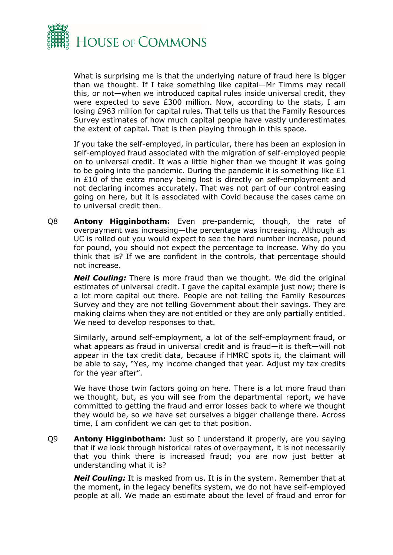

What is surprising me is that the underlying nature of fraud here is bigger than we thought. If I take something like capital—Mr Timms may recall this, or not—when we introduced capital rules inside universal credit, they were expected to save £300 million. Now, according to the stats, I am losing £963 million for capital rules. That tells us that the Family Resources Survey estimates of how much capital people have vastly underestimates the extent of capital. That is then playing through in this space.

If you take the self-employed, in particular, there has been an explosion in self-employed fraud associated with the migration of self-employed people on to universal credit. It was a little higher than we thought it was going to be going into the pandemic. During the pandemic it is something like £1 in £10 of the extra money being lost is directly on self-employment and not declaring incomes accurately. That was not part of our control easing going on here, but it is associated with Covid because the cases came on to universal credit then.

Q8 **Antony Higginbotham:** Even pre-pandemic, though, the rate of overpayment was increasing—the percentage was increasing. Although as UC is rolled out you would expect to see the hard number increase, pound for pound, you should not expect the percentage to increase. Why do you think that is? If we are confident in the controls, that percentage should not increase.

*Neil Couling:* There is more fraud than we thought. We did the original estimates of universal credit. I gave the capital example just now; there is a lot more capital out there. People are not telling the Family Resources Survey and they are not telling Government about their savings. They are making claims when they are not entitled or they are only partially entitled. We need to develop responses to that.

Similarly, around self-employment, a lot of the self-employment fraud, or what appears as fraud in universal credit and is fraud—it is theft—will not appear in the tax credit data, because if HMRC spots it, the claimant will be able to say, "Yes, my income changed that year. Adjust my tax credits for the year after".

We have those twin factors going on here. There is a lot more fraud than we thought, but, as you will see from the departmental report, we have committed to getting the fraud and error losses back to where we thought they would be, so we have set ourselves a bigger challenge there. Across time, I am confident we can get to that position.

Q9 **Antony Higginbotham:** Just so I understand it properly, are you saying that if we look through historical rates of overpayment, it is not necessarily that you think there is increased fraud; you are now just better at understanding what it is?

*Neil Couling:* It is masked from us. It is in the system. Remember that at the moment, in the legacy benefits system, we do not have self-employed people at all. We made an estimate about the level of fraud and error for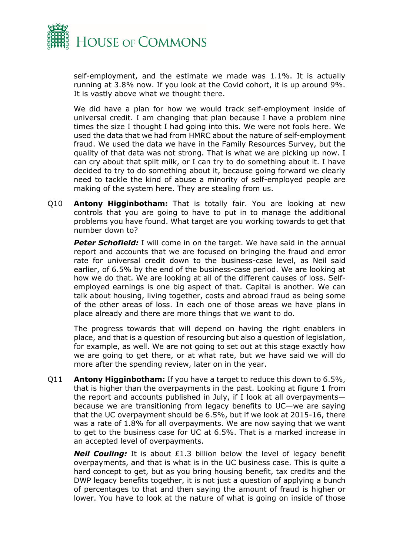

self-employment, and the estimate we made was 1.1%. It is actually running at 3.8% now. If you look at the Covid cohort, it is up around 9%. It is vastly above what we thought there.

We did have a plan for how we would track self-employment inside of universal credit. I am changing that plan because I have a problem nine times the size I thought I had going into this. We were not fools here. We used the data that we had from HMRC about the nature of self-employment fraud. We used the data we have in the Family Resources Survey, but the quality of that data was not strong. That is what we are picking up now. I can cry about that spilt milk, or I can try to do something about it. I have decided to try to do something about it, because going forward we clearly need to tackle the kind of abuse a minority of self-employed people are making of the system here. They are stealing from us.

Q10 **Antony Higginbotham:** That is totally fair. You are looking at new controls that you are going to have to put in to manage the additional problems you have found. What target are you working towards to get that number down to?

**Peter Schofield:** I will come in on the target. We have said in the annual report and accounts that we are focused on bringing the fraud and error rate for universal credit down to the business-case level, as Neil said earlier, of 6.5% by the end of the business-case period. We are looking at how we do that. We are looking at all of the different causes of loss. Selfemployed earnings is one big aspect of that. Capital is another. We can talk about housing, living together, costs and abroad fraud as being some of the other areas of loss. In each one of those areas we have plans in place already and there are more things that we want to do.

The progress towards that will depend on having the right enablers in place, and that is a question of resourcing but also a question of legislation, for example, as well. We are not going to set out at this stage exactly how we are going to get there, or at what rate, but we have said we will do more after the spending review, later on in the year.

Q11 **Antony Higginbotham:** If you have a target to reduce this down to 6.5%, that is higher than the overpayments in the past. Looking at figure 1 from the report and accounts published in July, if I look at all overpayments because we are transitioning from legacy benefits to UC—we are saying that the UC overpayment should be 6.5%, but if we look at 2015-16, there was a rate of 1.8% for all overpayments. We are now saying that we want to get to the business case for UC at 6.5%. That is a marked increase in an accepted level of overpayments.

**Neil Couling:** It is about £1.3 billion below the level of legacy benefit overpayments, and that is what is in the UC business case. This is quite a hard concept to get, but as you bring housing benefit, tax credits and the DWP legacy benefits together, it is not just a question of applying a bunch of percentages to that and then saying the amount of fraud is higher or lower. You have to look at the nature of what is going on inside of those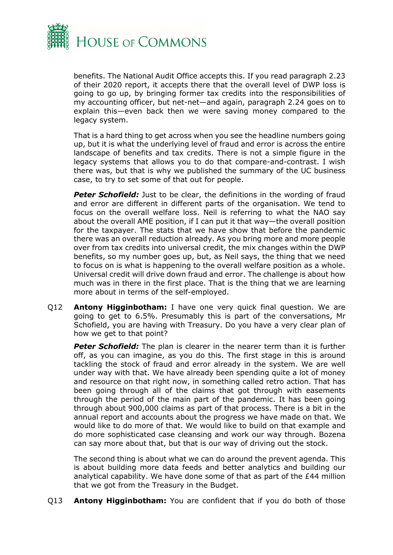

benefits. The National Audit Office accepts this. If you read paragraph 2.23 of their 2020 report, it accepts there that the overall level of DWP loss is going to go up, by bringing former tax credits into the responsibilities of my accounting officer, but net-net—and again, paragraph 2.24 goes on to explain this—even back then we were saving money compared to the legacy system.

That is a hard thing to get across when you see the headline numbers going up, but it is what the underlying level of fraud and error is across the entire landscape of benefits and tax credits. There is not a simple figure in the legacy systems that allows you to do that compare-and-contrast. I wish there was, but that is why we published the summary of the UC business case, to try to set some of that out for people.

**Peter Schofield:** Just to be clear, the definitions in the wording of fraud and error are different in different parts of the organisation. We tend to focus on the overall welfare loss. Neil is referring to what the NAO say about the overall AME position, if I can put it that way—the overall position for the taxpayer. The stats that we have show that before the pandemic there was an overall reduction already. As you bring more and more people over from tax credits into universal credit, the mix changes within the DWP benefits, so my number goes up, but, as Neil says, the thing that we need to focus on is what is happening to the overall welfare position as a whole. Universal credit will drive down fraud and error. The challenge is about how much was in there in the first place. That is the thing that we are learning more about in terms of the self-employed.

Q12 **Antony Higginbotham:** I have one very quick final question. We are going to get to 6.5%. Presumably this is part of the conversations, Mr Schofield, you are having with Treasury. Do you have a very clear plan of how we get to that point?

**Peter Schofield:** The plan is clearer in the nearer term than it is further off, as you can imagine, as you do this. The first stage in this is around tackling the stock of fraud and error already in the system. We are well under way with that. We have already been spending quite a lot of money and resource on that right now, in something called retro action. That has been going through all of the claims that got through with easements through the period of the main part of the pandemic. It has been going through about 900,000 claims as part of that process. There is a bit in the annual report and accounts about the progress we have made on that. We would like to do more of that. We would like to build on that example and do more sophisticated case cleansing and work our way through. Bozena can say more about that, but that is our way of driving out the stock.

The second thing is about what we can do around the prevent agenda. This is about building more data feeds and better analytics and building our analytical capability. We have done some of that as part of the £44 million that we got from the Treasury in the Budget.

Q13 **Antony Higginbotham:** You are confident that if you do both of those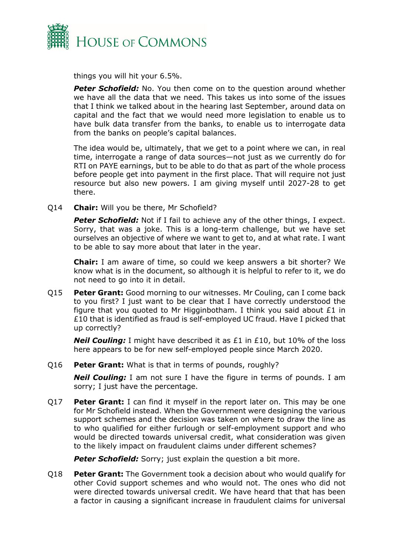

things you will hit your 6.5%.

**Peter Schofield:** No. You then come on to the question around whether we have all the data that we need. This takes us into some of the issues that I think we talked about in the hearing last September, around data on capital and the fact that we would need more legislation to enable us to have bulk data transfer from the banks, to enable us to interrogate data from the banks on people's capital balances.

The idea would be, ultimately, that we get to a point where we can, in real time, interrogate a range of data sources—not just as we currently do for RTI on PAYE earnings, but to be able to do that as part of the whole process before people get into payment in the first place. That will require not just resource but also new powers. I am giving myself until 2027-28 to get there.

Q14 **Chair:** Will you be there, Mr Schofield?

**Peter Schofield:** Not if I fail to achieve any of the other things, I expect. Sorry, that was a joke. This is a long-term challenge, but we have set ourselves an objective of where we want to get to, and at what rate. I want to be able to say more about that later in the year.

**Chair:** I am aware of time, so could we keep answers a bit shorter? We know what is in the document, so although it is helpful to refer to it, we do not need to go into it in detail.

Q15 **Peter Grant:** Good morning to our witnesses. Mr Couling, can I come back to you first? I just want to be clear that I have correctly understood the figure that you quoted to Mr Higginbotham. I think you said about £1 in £10 that is identified as fraud is self-employed UC fraud. Have I picked that up correctly?

**Neil Couling:** I might have described it as £1 in £10, but 10% of the loss here appears to be for new self-employed people since March 2020.

#### Q16 **Peter Grant:** What is that in terms of pounds, roughly?

*Neil Couling:* I am not sure I have the figure in terms of pounds. I am sorry; I just have the percentage.

Q17 **Peter Grant:** I can find it myself in the report later on. This may be one for Mr Schofield instead. When the Government were designing the various support schemes and the decision was taken on where to draw the line as to who qualified for either furlough or self-employment support and who would be directed towards universal credit, what consideration was given to the likely impact on fraudulent claims under different schemes?

**Peter Schofield:** Sorry; just explain the question a bit more.

Q18 **Peter Grant:** The Government took a decision about who would qualify for other Covid support schemes and who would not. The ones who did not were directed towards universal credit. We have heard that that has been a factor in causing a significant increase in fraudulent claims for universal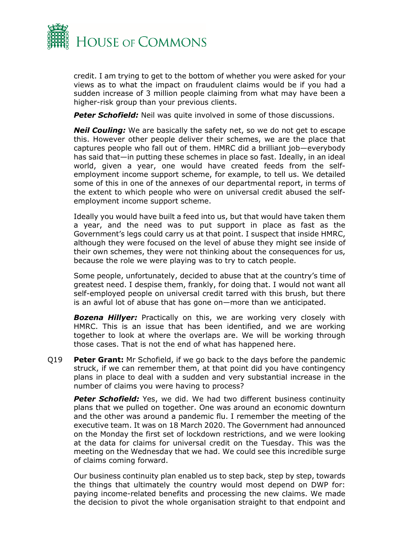

credit. I am trying to get to the bottom of whether you were asked for your views as to what the impact on fraudulent claims would be if you had a sudden increase of 3 million people claiming from what may have been a higher-risk group than your previous clients.

**Peter Schofield:** Neil was quite involved in some of those discussions.

**Neil Couling:** We are basically the safety net, so we do not get to escape this. However other people deliver their schemes, we are the place that captures people who fall out of them. HMRC did a brilliant job—everybody has said that—in putting these schemes in place so fast. Ideally, in an ideal world, given a year, one would have created feeds from the selfemployment income support scheme, for example, to tell us. We detailed some of this in one of the annexes of our departmental report, in terms of the extent to which people who were on universal credit abused the selfemployment income support scheme.

Ideally you would have built a feed into us, but that would have taken them a year, and the need was to put support in place as fast as the Government's legs could carry us at that point. I suspect that inside HMRC, although they were focused on the level of abuse they might see inside of their own schemes, they were not thinking about the consequences for us, because the role we were playing was to try to catch people.

Some people, unfortunately, decided to abuse that at the country's time of greatest need. I despise them, frankly, for doing that. I would not want all self-employed people on universal credit tarred with this brush, but there is an awful lot of abuse that has gone on—more than we anticipated.

**Bozena Hillyer:** Practically on this, we are working very closely with HMRC. This is an issue that has been identified, and we are working together to look at where the overlaps are. We will be working through those cases. That is not the end of what has happened here.

Q19 **Peter Grant:** Mr Schofield, if we go back to the days before the pandemic struck, if we can remember them, at that point did you have contingency plans in place to deal with a sudden and very substantial increase in the number of claims you were having to process?

**Peter Schofield:** Yes, we did. We had two different business continuity plans that we pulled on together. One was around an economic downturn and the other was around a pandemic flu. I remember the meeting of the executive team. It was on 18 March 2020. The Government had announced on the Monday the first set of lockdown restrictions, and we were looking at the data for claims for universal credit on the Tuesday. This was the meeting on the Wednesday that we had. We could see this incredible surge of claims coming forward.

Our business continuity plan enabled us to step back, step by step, towards the things that ultimately the country would most depend on DWP for: paying income-related benefits and processing the new claims. We made the decision to pivot the whole organisation straight to that endpoint and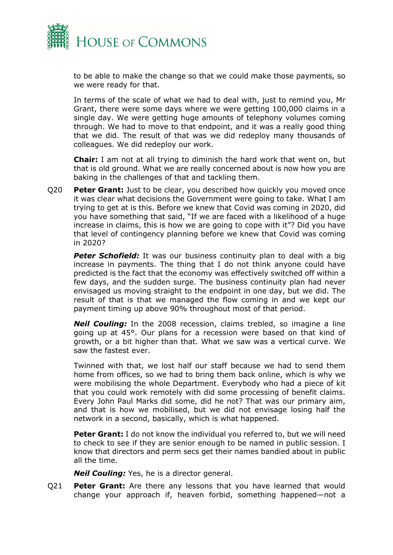

to be able to make the change so that we could make those payments, so we were ready for that.

In terms of the scale of what we had to deal with, just to remind you, Mr Grant, there were some days where we were getting 100,000 claims in a single day. We were getting huge amounts of telephony volumes coming through. We had to move to that endpoint, and it was a really good thing that we did. The result of that was we did redeploy many thousands of colleagues. We did redeploy our work.

**Chair:** I am not at all trying to diminish the hard work that went on, but that is old ground. What we are really concerned about is now how you are baking in the challenges of that and tackling them.

Q20 **Peter Grant:** Just to be clear, you described how quickly you moved once it was clear what decisions the Government were going to take. What I am trying to get at is this. Before we knew that Covid was coming in 2020, did you have something that said, "If we are faced with a likelihood of a huge increase in claims, this is how we are going to cope with it"? Did you have that level of contingency planning before we knew that Covid was coming in 2020?

**Peter Schofield:** It was our business continuity plan to deal with a big increase in payments. The thing that I do not think anyone could have predicted is the fact that the economy was effectively switched off within a few days, and the sudden surge. The business continuity plan had never envisaged us moving straight to the endpoint in one day, but we did. The result of that is that we managed the flow coming in and we kept our payment timing up above 90% throughout most of that period.

*Neil Couling:* In the 2008 recession, claims trebled, so imagine a line going up at 45°. Our plans for a recession were based on that kind of growth, or a bit higher than that. What we saw was a vertical curve. We saw the fastest ever.

Twinned with that, we lost half our staff because we had to send them home from offices, so we had to bring them back online, which is why we were mobilising the whole Department. Everybody who had a piece of kit that you could work remotely with did some processing of benefit claims. Every John Paul Marks did some, did he not? That was our primary aim, and that is how we mobilised, but we did not envisage losing half the network in a second, basically, which is what happened.

**Peter Grant:** I do not know the individual you referred to, but we will need to check to see if they are senior enough to be named in public session. I know that directors and perm secs get their names bandied about in public all the time.

*Neil Couling:* Yes, he is a director general.

Q21 **Peter Grant:** Are there any lessons that you have learned that would change your approach if, heaven forbid, something happened—not a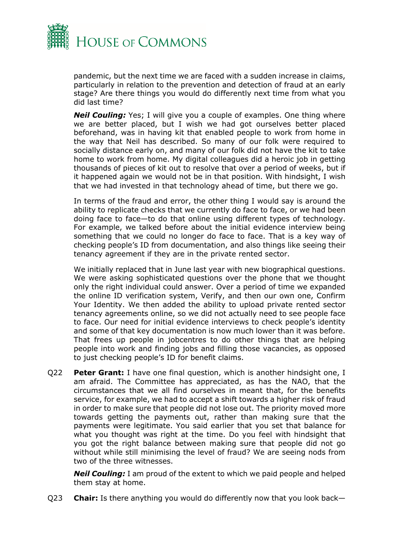

pandemic, but the next time we are faced with a sudden increase in claims, particularly in relation to the prevention and detection of fraud at an early stage? Are there things you would do differently next time from what you did last time?

**Neil Couling:** Yes; I will give you a couple of examples. One thing where we are better placed, but I wish we had got ourselves better placed beforehand, was in having kit that enabled people to work from home in the way that Neil has described. So many of our folk were required to socially distance early on, and many of our folk did not have the kit to take home to work from home. My digital colleagues did a heroic job in getting thousands of pieces of kit out to resolve that over a period of weeks, but if it happened again we would not be in that position. With hindsight, I wish that we had invested in that technology ahead of time, but there we go.

In terms of the fraud and error, the other thing I would say is around the ability to replicate checks that we currently do face to face, or we had been doing face to face—to do that online using different types of technology. For example, we talked before about the initial evidence interview being something that we could no longer do face to face. That is a key way of checking people's ID from documentation, and also things like seeing their tenancy agreement if they are in the private rented sector.

We initially replaced that in June last year with new biographical questions. We were asking sophisticated questions over the phone that we thought only the right individual could answer. Over a period of time we expanded the online ID verification system, Verify, and then our own one, Confirm Your Identity. We then added the ability to upload private rented sector tenancy agreements online, so we did not actually need to see people face to face. Our need for initial evidence interviews to check people's identity and some of that key documentation is now much lower than it was before. That frees up people in jobcentres to do other things that are helping people into work and finding jobs and filling those vacancies, as opposed to just checking people's ID for benefit claims.

Q22 **Peter Grant:** I have one final question, which is another hindsight one, I am afraid. The Committee has appreciated, as has the NAO, that the circumstances that we all find ourselves in meant that, for the benefits service, for example, we had to accept a shift towards a higher risk of fraud in order to make sure that people did not lose out. The priority moved more towards getting the payments out, rather than making sure that the payments were legitimate. You said earlier that you set that balance for what you thought was right at the time. Do you feel with hindsight that you got the right balance between making sure that people did not go without while still minimising the level of fraud? We are seeing nods from two of the three witnesses.

*Neil Couling:* I am proud of the extent to which we paid people and helped them stay at home.

Q23 **Chair:** Is there anything you would do differently now that you look back—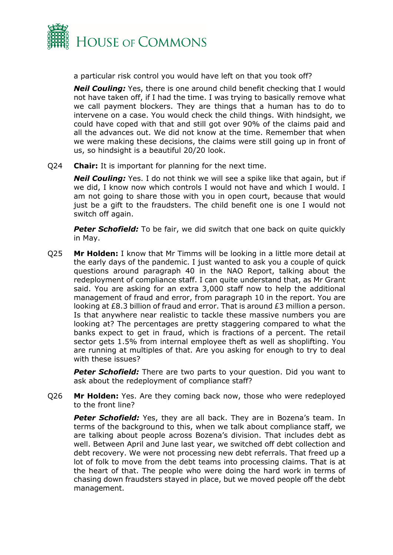

a particular risk control you would have left on that you took off?

*Neil Couling:* Yes, there is one around child benefit checking that I would not have taken off, if I had the time. I was trying to basically remove what we call payment blockers. They are things that a human has to do to intervene on a case. You would check the child things. With hindsight, we could have coped with that and still got over 90% of the claims paid and all the advances out. We did not know at the time. Remember that when we were making these decisions, the claims were still going up in front of us, so hindsight is a beautiful 20/20 look.

Q24 **Chair:** It is important for planning for the next time.

*Neil Couling:* Yes. I do not think we will see a spike like that again, but if we did, I know now which controls I would not have and which I would. I am not going to share those with you in open court, because that would just be a gift to the fraudsters. The child benefit one is one I would not switch off again.

**Peter Schofield:** To be fair, we did switch that one back on quite quickly in May.

Q25 **Mr Holden:** I know that Mr Timms will be looking in a little more detail at the early days of the pandemic. I just wanted to ask you a couple of quick questions around paragraph 40 in the NAO Report, talking about the redeployment of compliance staff. I can quite understand that, as Mr Grant said. You are asking for an extra 3,000 staff now to help the additional management of fraud and error, from paragraph 10 in the report. You are looking at £8.3 billion of fraud and error. That is around £3 million a person. Is that anywhere near realistic to tackle these massive numbers you are looking at? The percentages are pretty staggering compared to what the banks expect to get in fraud, which is fractions of a percent. The retail sector gets 1.5% from internal employee theft as well as shoplifting. You are running at multiples of that. Are you asking for enough to try to deal with these issues?

**Peter Schofield:** There are two parts to your question. Did you want to ask about the redeployment of compliance staff?

Q26 **Mr Holden:** Yes. Are they coming back now, those who were redeployed to the front line?

**Peter Schofield:** Yes, they are all back. They are in Bozena's team. In terms of the background to this, when we talk about compliance staff, we are talking about people across Bozena's division. That includes debt as well. Between April and June last year, we switched off debt collection and debt recovery. We were not processing new debt referrals. That freed up a lot of folk to move from the debt teams into processing claims. That is at the heart of that. The people who were doing the hard work in terms of chasing down fraudsters stayed in place, but we moved people off the debt management.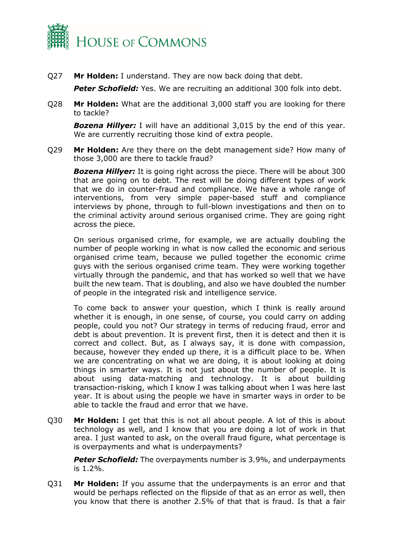

Q27 **Mr Holden:** I understand. They are now back doing that debt.

**Peter Schofield:** Yes. We are recruiting an additional 300 folk into debt.

Q28 **Mr Holden:** What are the additional 3,000 staff you are looking for there to tackle?

*Bozena Hillyer:* I will have an additional 3,015 by the end of this year. We are currently recruiting those kind of extra people.

Q29 **Mr Holden:** Are they there on the debt management side? How many of those 3,000 are there to tackle fraud?

*Bozena Hillyer:* It is going right across the piece. There will be about 300 that are going on to debt. The rest will be doing different types of work that we do in counter-fraud and compliance. We have a whole range of interventions, from very simple paper-based stuff and compliance interviews by phone, through to full-blown investigations and then on to the criminal activity around serious organised crime. They are going right across the piece.

On serious organised crime, for example, we are actually doubling the number of people working in what is now called the economic and serious organised crime team, because we pulled together the economic crime guys with the serious organised crime team. They were working together virtually through the pandemic, and that has worked so well that we have built the new team. That is doubling, and also we have doubled the number of people in the integrated risk and intelligence service.

To come back to answer your question, which I think is really around whether it is enough, in one sense, of course, you could carry on adding people, could you not? Our strategy in terms of reducing fraud, error and debt is about prevention. It is prevent first, then it is detect and then it is correct and collect. But, as I always say, it is done with compassion, because, however they ended up there, it is a difficult place to be. When we are concentrating on what we are doing, it is about looking at doing things in smarter ways. It is not just about the number of people. It is about using data-matching and technology. It is about building transaction-risking, which I know I was talking about when I was here last year. It is about using the people we have in smarter ways in order to be able to tackle the fraud and error that we have.

Q30 **Mr Holden:** I get that this is not all about people. A lot of this is about technology as well, and I know that you are doing a lot of work in that area. I just wanted to ask, on the overall fraud figure, what percentage is is overpayments and what is underpayments?

**Peter Schofield:** The overpayments number is 3.9%, and underpayments is 1.2%.

Q31 **Mr Holden:** If you assume that the underpayments is an error and that would be perhaps reflected on the flipside of that as an error as well, then you know that there is another 2.5% of that that is fraud. Is that a fair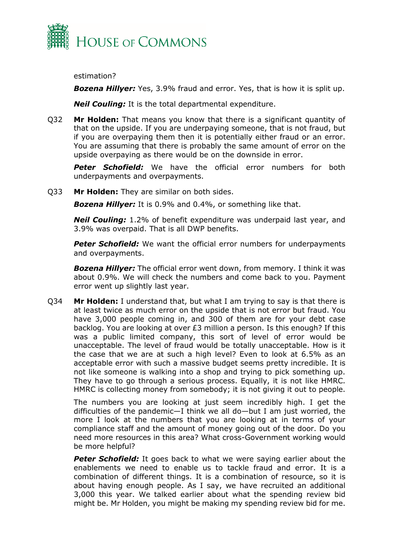

estimation?

*Bozena Hillyer:* Yes, 3.9% fraud and error. Yes, that is how it is split up.

*Neil Couling:* It is the total departmental expenditure.

Q32 **Mr Holden:** That means you know that there is a significant quantity of that on the upside. If you are underpaying someone, that is not fraud, but if you are overpaying them then it is potentially either fraud or an error. You are assuming that there is probably the same amount of error on the upside overpaying as there would be on the downside in error.

*Peter Schofield:* We have the official error numbers for both underpayments and overpayments.

Q33 **Mr Holden:** They are similar on both sides.

*Bozena Hillyer:* It is 0.9% and 0.4%, or something like that.

*Neil Couling:* 1.2% of benefit expenditure was underpaid last year, and 3.9% was overpaid. That is all DWP benefits.

*Peter Schofield:* We want the official error numbers for underpayments and overpayments.

*Bozena Hillyer:* The official error went down, from memory. I think it was about 0.9%. We will check the numbers and come back to you. Payment error went up slightly last year.

Q34 **Mr Holden:** I understand that, but what I am trying to say is that there is at least twice as much error on the upside that is not error but fraud. You have 3,000 people coming in, and 300 of them are for your debt case backlog. You are looking at over £3 million a person. Is this enough? If this was a public limited company, this sort of level of error would be unacceptable. The level of fraud would be totally unacceptable. How is it the case that we are at such a high level? Even to look at 6.5% as an acceptable error with such a massive budget seems pretty incredible. It is not like someone is walking into a shop and trying to pick something up. They have to go through a serious process. Equally, it is not like HMRC. HMRC is collecting money from somebody; it is not giving it out to people.

The numbers you are looking at just seem incredibly high. I get the difficulties of the pandemic—I think we all do—but I am just worried, the more I look at the numbers that you are looking at in terms of your compliance staff and the amount of money going out of the door. Do you need more resources in this area? What cross-Government working would be more helpful?

**Peter Schofield:** It goes back to what we were saying earlier about the enablements we need to enable us to tackle fraud and error. It is a combination of different things. It is a combination of resource, so it is about having enough people. As I say, we have recruited an additional 3,000 this year. We talked earlier about what the spending review bid might be. Mr Holden, you might be making my spending review bid for me.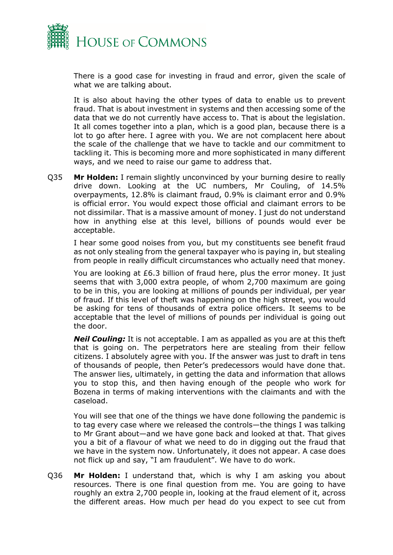

There is a good case for investing in fraud and error, given the scale of what we are talking about.

It is also about having the other types of data to enable us to prevent fraud. That is about investment in systems and then accessing some of the data that we do not currently have access to. That is about the legislation. It all comes together into a plan, which is a good plan, because there is a lot to go after here. I agree with you. We are not complacent here about the scale of the challenge that we have to tackle and our commitment to tackling it. This is becoming more and more sophisticated in many different ways, and we need to raise our game to address that.

Q35 **Mr Holden:** I remain slightly unconvinced by your burning desire to really drive down. Looking at the UC numbers, Mr Couling, of 14.5% overpayments, 12.8% is claimant fraud, 0.9% is claimant error and 0.9% is official error. You would expect those official and claimant errors to be not dissimilar. That is a massive amount of money. I just do not understand how in anything else at this level, billions of pounds would ever be acceptable.

I hear some good noises from you, but my constituents see benefit fraud as not only stealing from the general taxpayer who is paying in, but stealing from people in really difficult circumstances who actually need that money.

You are looking at £6.3 billion of fraud here, plus the error money. It just seems that with 3,000 extra people, of whom 2,700 maximum are going to be in this, you are looking at millions of pounds per individual, per year of fraud. If this level of theft was happening on the high street, you would be asking for tens of thousands of extra police officers. It seems to be acceptable that the level of millions of pounds per individual is going out the door.

*Neil Couling:* It is not acceptable. I am as appalled as you are at this theft that is going on. The perpetrators here are stealing from their fellow citizens. I absolutely agree with you. If the answer was just to draft in tens of thousands of people, then Peter's predecessors would have done that. The answer lies, ultimately, in getting the data and information that allows you to stop this, and then having enough of the people who work for Bozena in terms of making interventions with the claimants and with the caseload.

You will see that one of the things we have done following the pandemic is to tag every case where we released the controls—the things I was talking to Mr Grant about—and we have gone back and looked at that. That gives you a bit of a flavour of what we need to do in digging out the fraud that we have in the system now. Unfortunately, it does not appear. A case does not flick up and say, "I am fraudulent". We have to do work.

Q36 **Mr Holden:** I understand that, which is why I am asking you about resources. There is one final question from me. You are going to have roughly an extra 2,700 people in, looking at the fraud element of it, across the different areas. How much per head do you expect to see cut from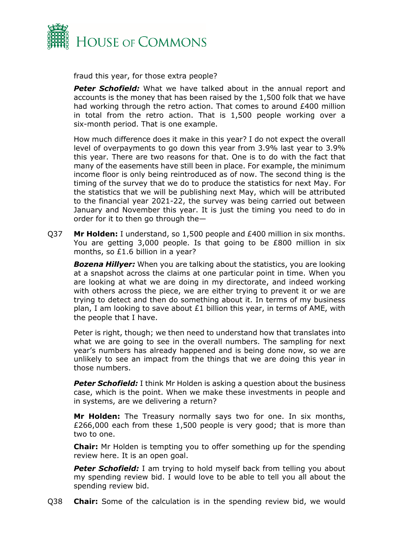

fraud this year, for those extra people?

**Peter Schofield:** What we have talked about in the annual report and accounts is the money that has been raised by the 1,500 folk that we have had working through the retro action. That comes to around £400 million in total from the retro action. That is 1,500 people working over a six-month period. That is one example.

How much difference does it make in this year? I do not expect the overall level of overpayments to go down this year from 3.9% last year to 3.9% this year. There are two reasons for that. One is to do with the fact that many of the easements have still been in place. For example, the minimum income floor is only being reintroduced as of now. The second thing is the timing of the survey that we do to produce the statistics for next May. For the statistics that we will be publishing next May, which will be attributed to the financial year 2021-22, the survey was being carried out between January and November this year. It is just the timing you need to do in order for it to then go through the—

Q37 **Mr Holden:** I understand, so 1,500 people and £400 million in six months. You are getting 3,000 people. Is that going to be £800 million in six months, so £1.6 billion in a year?

*Bozena Hillyer:* When you are talking about the statistics, you are looking at a snapshot across the claims at one particular point in time. When you are looking at what we are doing in my directorate, and indeed working with others across the piece, we are either trying to prevent it or we are trying to detect and then do something about it. In terms of my business plan, I am looking to save about  $E1$  billion this year, in terms of AME, with the people that I have.

Peter is right, though; we then need to understand how that translates into what we are going to see in the overall numbers. The sampling for next year's numbers has already happened and is being done now, so we are unlikely to see an impact from the things that we are doing this year in those numbers.

**Peter Schofield:** I think Mr Holden is asking a question about the business case, which is the point. When we make these investments in people and in systems, are we delivering a return?

**Mr Holden:** The Treasury normally says two for one. In six months, £266,000 each from these 1,500 people is very good; that is more than two to one.

**Chair:** Mr Holden is tempting you to offer something up for the spending review here. It is an open goal.

**Peter Schofield:** I am trying to hold myself back from telling you about my spending review bid. I would love to be able to tell you all about the spending review bid.

Q38 **Chair:** Some of the calculation is in the spending review bid, we would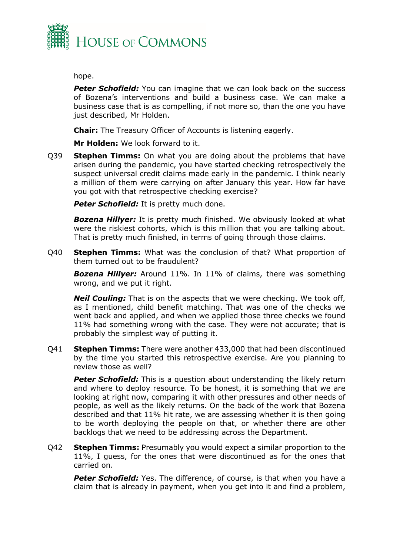

#### hope.

**Peter Schofield:** You can imagine that we can look back on the success of Bozena's interventions and build a business case. We can make a business case that is as compelling, if not more so, than the one you have just described, Mr Holden.

**Chair:** The Treasury Officer of Accounts is listening eagerly.

**Mr Holden:** We look forward to it.

Q39 **Stephen Timms:** On what you are doing about the problems that have arisen during the pandemic, you have started checking retrospectively the suspect universal credit claims made early in the pandemic. I think nearly a million of them were carrying on after January this year. How far have you got with that retrospective checking exercise?

**Peter Schofield:** It is pretty much done.

*Bozena Hillyer:* It is pretty much finished. We obviously looked at what were the riskiest cohorts, which is this million that you are talking about. That is pretty much finished, in terms of going through those claims.

Q40 **Stephen Timms:** What was the conclusion of that? What proportion of them turned out to be fraudulent?

*Bozena Hillyer:* Around 11%. In 11% of claims, there was something wrong, and we put it right.

*Neil Couling:* That is on the aspects that we were checking. We took off, as I mentioned, child benefit matching. That was one of the checks we went back and applied, and when we applied those three checks we found 11% had something wrong with the case. They were not accurate; that is probably the simplest way of putting it.

Q41 **Stephen Timms:** There were another 433,000 that had been discontinued by the time you started this retrospective exercise. Are you planning to review those as well?

**Peter Schofield:** This is a question about understanding the likely return and where to deploy resource. To be honest, it is something that we are looking at right now, comparing it with other pressures and other needs of people, as well as the likely returns. On the back of the work that Bozena described and that 11% hit rate, we are assessing whether it is then going to be worth deploying the people on that, or whether there are other backlogs that we need to be addressing across the Department.

Q42 **Stephen Timms:** Presumably you would expect a similar proportion to the 11%, I guess, for the ones that were discontinued as for the ones that carried on.

**Peter Schofield:** Yes. The difference, of course, is that when you have a claim that is already in payment, when you get into it and find a problem,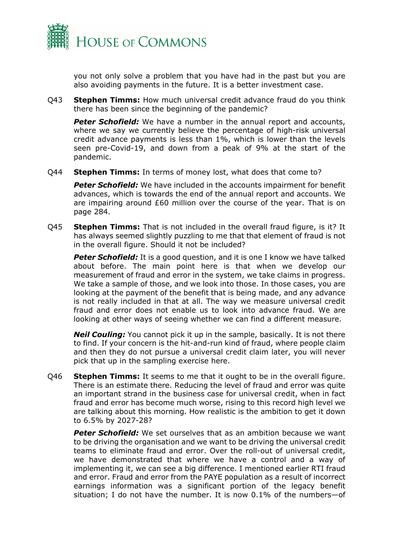

you not only solve a problem that you have had in the past but you are also avoiding payments in the future. It is a better investment case.

Q43 **Stephen Timms:** How much universal credit advance fraud do you think there has been since the beginning of the pandemic?

**Peter Schofield:** We have a number in the annual report and accounts, where we say we currently believe the percentage of high-risk universal credit advance payments is less than 1%, which is lower than the levels seen pre-Covid-19, and down from a peak of 9% at the start of the pandemic.

Q44 **Stephen Timms:** In terms of money lost, what does that come to?

*Peter Schofield:* We have included in the accounts impairment for benefit advances, which is towards the end of the annual report and accounts. We are impairing around £60 million over the course of the year. That is on page 284.

Q45 **Stephen Timms:** That is not included in the overall fraud figure, is it? It has always seemed slightly puzzling to me that that element of fraud is not in the overall figure. Should it not be included?

**Peter Schofield:** It is a good question, and it is one I know we have talked about before. The main point here is that when we develop our measurement of fraud and error in the system, we take claims in progress. We take a sample of those, and we look into those. In those cases, you are looking at the payment of the benefit that is being made, and any advance is not really included in that at all. The way we measure universal credit fraud and error does not enable us to look into advance fraud. We are looking at other ways of seeing whether we can find a different measure.

*Neil Couling:* You cannot pick it up in the sample, basically. It is not there to find. If your concern is the hit-and-run kind of fraud, where people claim and then they do not pursue a universal credit claim later, you will never pick that up in the sampling exercise here.

Q46 **Stephen Timms:** It seems to me that it ought to be in the overall figure. There is an estimate there. Reducing the level of fraud and error was quite an important strand in the business case for universal credit, when in fact fraud and error has become much worse, rising to this record high level we are talking about this morning. How realistic is the ambition to get it down to 6.5% by 2027-28?

**Peter Schofield:** We set ourselves that as an ambition because we want to be driving the organisation and we want to be driving the universal credit teams to eliminate fraud and error. Over the roll-out of universal credit, we have demonstrated that where we have a control and a way of implementing it, we can see a big difference. I mentioned earlier RTI fraud and error. Fraud and error from the PAYE population as a result of incorrect earnings information was a significant portion of the legacy benefit situation; I do not have the number. It is now 0.1% of the numbers—of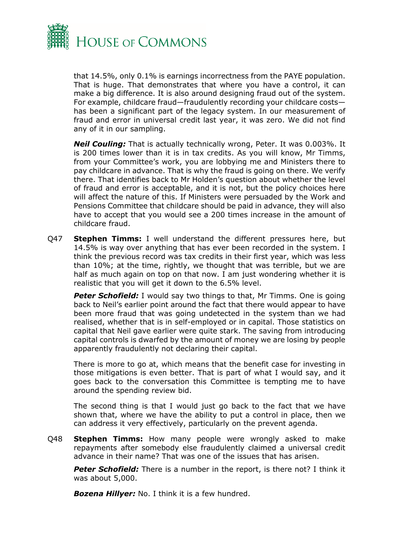

that 14.5%, only 0.1% is earnings incorrectness from the PAYE population. That is huge. That demonstrates that where you have a control, it can make a big difference. It is also around designing fraud out of the system. For example, childcare fraud—fraudulently recording your childcare costs has been a significant part of the legacy system. In our measurement of fraud and error in universal credit last year, it was zero. We did not find any of it in our sampling.

*Neil Couling:* That is actually technically wrong, Peter. It was 0.003%. It is 200 times lower than it is in tax credits. As you will know, Mr Timms, from your Committee's work, you are lobbying me and Ministers there to pay childcare in advance. That is why the fraud is going on there. We verify there. That identifies back to Mr Holden's question about whether the level of fraud and error is acceptable, and it is not, but the policy choices here will affect the nature of this. If Ministers were persuaded by the Work and Pensions Committee that childcare should be paid in advance, they will also have to accept that you would see a 200 times increase in the amount of childcare fraud.

Q47 **Stephen Timms:** I well understand the different pressures here, but 14.5% is way over anything that has ever been recorded in the system. I think the previous record was tax credits in their first year, which was less than 10%; at the time, rightly, we thought that was terrible, but we are half as much again on top on that now. I am just wondering whether it is realistic that you will get it down to the 6.5% level.

**Peter Schofield:** I would say two things to that, Mr Timms. One is going back to Neil's earlier point around the fact that there would appear to have been more fraud that was going undetected in the system than we had realised, whether that is in self-employed or in capital. Those statistics on capital that Neil gave earlier were quite stark. The saving from introducing capital controls is dwarfed by the amount of money we are losing by people apparently fraudulently not declaring their capital.

There is more to go at, which means that the benefit case for investing in those mitigations is even better. That is part of what I would say, and it goes back to the conversation this Committee is tempting me to have around the spending review bid.

The second thing is that I would just go back to the fact that we have shown that, where we have the ability to put a control in place, then we can address it very effectively, particularly on the prevent agenda.

Q48 **Stephen Timms:** How many people were wrongly asked to make repayments after somebody else fraudulently claimed a universal credit advance in their name? That was one of the issues that has arisen.

**Peter Schofield:** There is a number in the report, is there not? I think it was about 5,000.

*Bozena Hillyer:* No. I think it is a few hundred.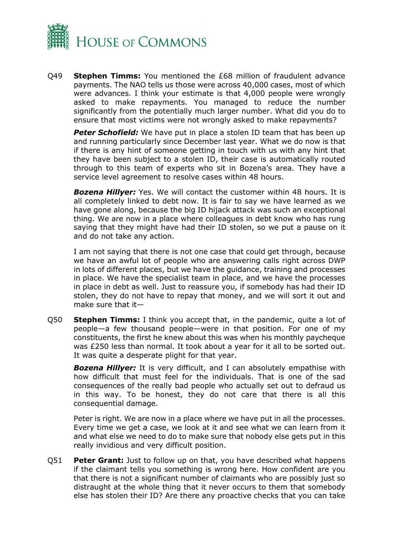

Q49 **Stephen Timms:** You mentioned the £68 million of fraudulent advance payments. The NAO tells us those were across 40,000 cases, most of which were advances. I think your estimate is that 4,000 people were wrongly asked to make repayments. You managed to reduce the number significantly from the potentially much larger number. What did you do to ensure that most victims were not wrongly asked to make repayments?

**Peter Schofield:** We have put in place a stolen ID team that has been up and running particularly since December last year. What we do now is that if there is any hint of someone getting in touch with us with any hint that they have been subject to a stolen ID, their case is automatically routed through to this team of experts who sit in Bozena's area. They have a service level agreement to resolve cases within 48 hours.

*Bozena Hillyer:* Yes. We will contact the customer within 48 hours. It is all completely linked to debt now. It is fair to say we have learned as we have gone along, because the big ID hijack attack was such an exceptional thing. We are now in a place where colleagues in debt know who has rung saying that they might have had their ID stolen, so we put a pause on it and do not take any action.

I am not saying that there is not one case that could get through, because we have an awful lot of people who are answering calls right across DWP in lots of different places, but we have the guidance, training and processes in place. We have the specialist team in place, and we have the processes in place in debt as well. Just to reassure you, if somebody has had their ID stolen, they do not have to repay that money, and we will sort it out and make sure that it—

Q50 **Stephen Timms:** I think you accept that, in the pandemic, quite a lot of people—a few thousand people—were in that position. For one of my constituents, the first he knew about this was when his monthly paycheque was £250 less than normal. It took about a year for it all to be sorted out. It was quite a desperate plight for that year.

**Bozena Hillyer:** It is very difficult, and I can absolutely empathise with how difficult that must feel for the individuals. That is one of the sad consequences of the really bad people who actually set out to defraud us in this way. To be honest, they do not care that there is all this consequential damage.

Peter is right. We are now in a place where we have put in all the processes. Every time we get a case, we look at it and see what we can learn from it and what else we need to do to make sure that nobody else gets put in this really invidious and very difficult position.

Q51 **Peter Grant:** Just to follow up on that, you have described what happens if the claimant tells you something is wrong here. How confident are you that there is not a significant number of claimants who are possibly just so distraught at the whole thing that it never occurs to them that somebody else has stolen their ID? Are there any proactive checks that you can take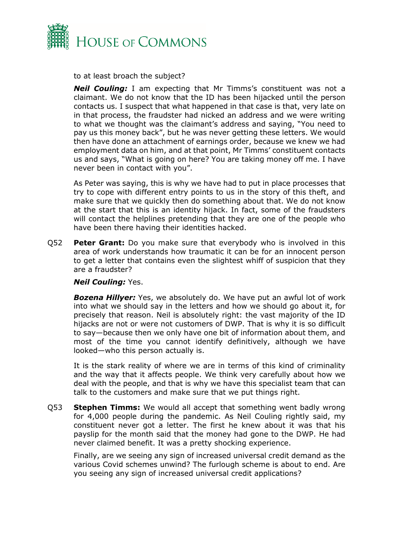

to at least broach the subject?

*Neil Couling:* I am expecting that Mr Timms's constituent was not a claimant. We do not know that the ID has been hijacked until the person contacts us. I suspect that what happened in that case is that, very late on in that process, the fraudster had nicked an address and we were writing to what we thought was the claimant's address and saying, "You need to pay us this money back", but he was never getting these letters. We would then have done an attachment of earnings order, because we knew we had employment data on him, and at that point, Mr Timms' constituent contacts us and says, "What is going on here? You are taking money off me. I have never been in contact with you".

As Peter was saying, this is why we have had to put in place processes that try to cope with different entry points to us in the story of this theft, and make sure that we quickly then do something about that. We do not know at the start that this is an identity hijack. In fact, some of the fraudsters will contact the helplines pretending that they are one of the people who have been there having their identities hacked.

Q52 **Peter Grant:** Do you make sure that everybody who is involved in this area of work understands how traumatic it can be for an innocent person to get a letter that contains even the slightest whiff of suspicion that they are a fraudster?

#### *Neil Couling:* Yes.

*Bozena Hillyer:* Yes, we absolutely do. We have put an awful lot of work into what we should say in the letters and how we should go about it, for precisely that reason. Neil is absolutely right: the vast majority of the ID hijacks are not or were not customers of DWP. That is why it is so difficult to say—because then we only have one bit of information about them, and most of the time you cannot identify definitively, although we have looked—who this person actually is.

It is the stark reality of where we are in terms of this kind of criminality and the way that it affects people. We think very carefully about how we deal with the people, and that is why we have this specialist team that can talk to the customers and make sure that we put things right.

Q53 **Stephen Timms:** We would all accept that something went badly wrong for 4,000 people during the pandemic. As Neil Couling rightly said, my constituent never got a letter. The first he knew about it was that his payslip for the month said that the money had gone to the DWP. He had never claimed benefit. It was a pretty shocking experience.

Finally, are we seeing any sign of increased universal credit demand as the various Covid schemes unwind? The furlough scheme is about to end. Are you seeing any sign of increased universal credit applications?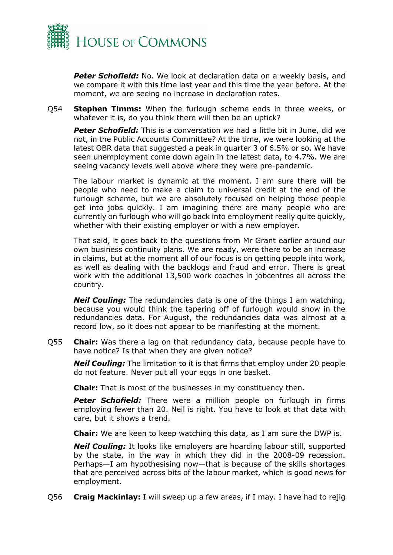

*Peter Schofield:* No. We look at declaration data on a weekly basis, and we compare it with this time last year and this time the year before. At the moment, we are seeing no increase in declaration rates.

Q54 **Stephen Timms:** When the furlough scheme ends in three weeks, or whatever it is, do you think there will then be an uptick?

**Peter Schofield:** This is a conversation we had a little bit in June, did we not, in the Public Accounts Committee? At the time, we were looking at the latest OBR data that suggested a peak in quarter 3 of 6.5% or so. We have seen unemployment come down again in the latest data, to 4.7%. We are seeing vacancy levels well above where they were pre-pandemic.

The labour market is dynamic at the moment. I am sure there will be people who need to make a claim to universal credit at the end of the furlough scheme, but we are absolutely focused on helping those people get into jobs quickly. I am imagining there are many people who are currently on furlough who will go back into employment really quite quickly, whether with their existing employer or with a new employer.

That said, it goes back to the questions from Mr Grant earlier around our own business continuity plans. We are ready, were there to be an increase in claims, but at the moment all of our focus is on getting people into work, as well as dealing with the backlogs and fraud and error. There is great work with the additional 13,500 work coaches in jobcentres all across the country.

*Neil Couling:* The redundancies data is one of the things I am watching, because you would think the tapering off of furlough would show in the redundancies data. For August, the redundancies data was almost at a record low, so it does not appear to be manifesting at the moment.

Q55 **Chair:** Was there a lag on that redundancy data, because people have to have notice? Is that when they are given notice?

*Neil Couling:* The limitation to it is that firms that employ under 20 people do not feature. Never put all your eggs in one basket.

**Chair:** That is most of the businesses in my constituency then.

*Peter Schofield:* There were a million people on furlough in firms employing fewer than 20. Neil is right. You have to look at that data with care, but it shows a trend.

**Chair:** We are keen to keep watching this data, as I am sure the DWP is.

*Neil Couling:* It looks like employers are hoarding labour still, supported by the state, in the way in which they did in the 2008-09 recession. Perhaps—I am hypothesising now—that is because of the skills shortages that are perceived across bits of the labour market, which is good news for employment.

Q56 **Craig Mackinlay:** I will sweep up a few areas, if I may. I have had to rejig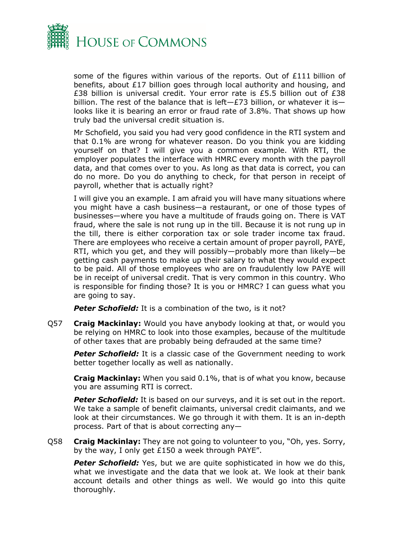

some of the figures within various of the reports. Out of £111 billion of benefits, about £17 billion goes through local authority and housing, and £38 billion is universal credit. Your error rate is £5.5 billion out of £38 billion. The rest of the balance that is left-£73 billion, or whatever it islooks like it is bearing an error or fraud rate of 3.8%. That shows up how truly bad the universal credit situation is.

Mr Schofield, you said you had very good confidence in the RTI system and that 0.1% are wrong for whatever reason. Do you think you are kidding yourself on that? I will give you a common example. With RTI, the employer populates the interface with HMRC every month with the payroll data, and that comes over to you. As long as that data is correct, you can do no more. Do you do anything to check, for that person in receipt of payroll, whether that is actually right?

I will give you an example. I am afraid you will have many situations where you might have a cash business—a restaurant, or one of those types of businesses—where you have a multitude of frauds going on. There is VAT fraud, where the sale is not rung up in the till. Because it is not rung up in the till, there is either corporation tax or sole trader income tax fraud. There are employees who receive a certain amount of proper payroll, PAYE, RTI, which you get, and they will possibly—probably more than likely—be getting cash payments to make up their salary to what they would expect to be paid. All of those employees who are on fraudulently low PAYE will be in receipt of universal credit. That is very common in this country. Who is responsible for finding those? It is you or HMRC? I can guess what you are going to say.

**Peter Schofield:** It is a combination of the two, is it not?

Q57 **Craig Mackinlay:** Would you have anybody looking at that, or would you be relying on HMRC to look into those examples, because of the multitude of other taxes that are probably being defrauded at the same time?

**Peter Schofield:** It is a classic case of the Government needing to work better together locally as well as nationally.

**Craig Mackinlay:** When you said 0.1%, that is of what you know, because you are assuming RTI is correct.

**Peter Schofield:** It is based on our surveys, and it is set out in the report. We take a sample of benefit claimants, universal credit claimants, and we look at their circumstances. We go through it with them. It is an in-depth process. Part of that is about correcting any—

Q58 **Craig Mackinlay:** They are not going to volunteer to you, "Oh, yes. Sorry, by the way, I only get £150 a week through PAYE".

**Peter Schofield:** Yes, but we are quite sophisticated in how we do this, what we investigate and the data that we look at. We look at their bank account details and other things as well. We would go into this quite thoroughly.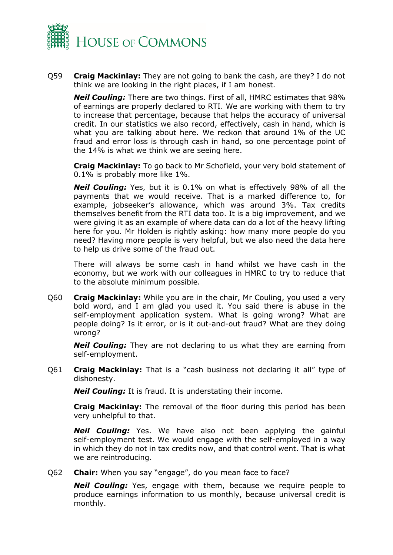

Q59 **Craig Mackinlay:** They are not going to bank the cash, are they? I do not think we are looking in the right places, if I am honest.

*Neil Couling:* There are two things. First of all, HMRC estimates that 98% of earnings are properly declared to RTI. We are working with them to try to increase that percentage, because that helps the accuracy of universal credit. In our statistics we also record, effectively, cash in hand, which is what you are talking about here. We reckon that around 1% of the UC fraud and error loss is through cash in hand, so one percentage point of the 14% is what we think we are seeing here.

**Craig Mackinlay:** To go back to Mr Schofield, your very bold statement of 0.1% is probably more like 1%.

*Neil Couling:* Yes, but it is 0.1% on what is effectively 98% of all the payments that we would receive. That is a marked difference to, for example, jobseeker's allowance, which was around 3%. Tax credits themselves benefit from the RTI data too. It is a big improvement, and we were giving it as an example of where data can do a lot of the heavy lifting here for you. Mr Holden is rightly asking: how many more people do you need? Having more people is very helpful, but we also need the data here to help us drive some of the fraud out.

There will always be some cash in hand whilst we have cash in the economy, but we work with our colleagues in HMRC to try to reduce that to the absolute minimum possible.

Q60 **Craig Mackinlay:** While you are in the chair, Mr Couling, you used a very bold word, and I am glad you used it. You said there is abuse in the self-employment application system. What is going wrong? What are people doing? Is it error, or is it out-and-out fraud? What are they doing wrong?

*Neil Couling:* They are not declaring to us what they are earning from self-employment.

Q61 **Craig Mackinlay:** That is a "cash business not declaring it all" type of dishonesty.

*Neil Couling:* It is fraud. It is understating their income.

**Craig Mackinlay:** The removal of the floor during this period has been very unhelpful to that.

*Neil Couling:* Yes. We have also not been applying the gainful self-employment test. We would engage with the self-employed in a way in which they do not in tax credits now, and that control went. That is what we are reintroducing.

Q62 **Chair:** When you say "engage", do you mean face to face?

*Neil Couling:* Yes, engage with them, because we require people to produce earnings information to us monthly, because universal credit is monthly.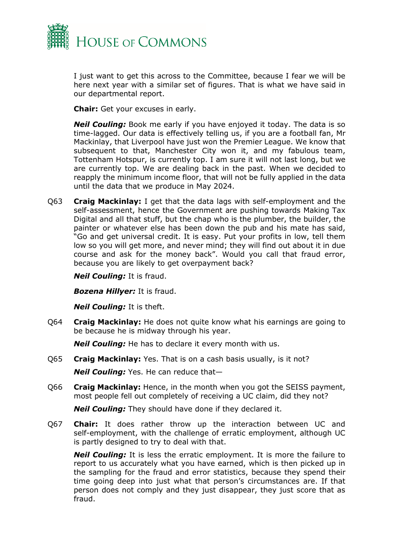

I just want to get this across to the Committee, because I fear we will be here next year with a similar set of figures. That is what we have said in our departmental report.

**Chair:** Get your excuses in early.

*Neil Couling:* Book me early if you have enjoyed it today. The data is so time-lagged. Our data is effectively telling us, if you are a football fan, Mr Mackinlay, that Liverpool have just won the Premier League. We know that subsequent to that, Manchester City won it, and my fabulous team, Tottenham Hotspur, is currently top. I am sure it will not last long, but we are currently top. We are dealing back in the past. When we decided to reapply the minimum income floor, that will not be fully applied in the data until the data that we produce in May 2024.

Q63 **Craig Mackinlay:** I get that the data lags with self-employment and the self-assessment, hence the Government are pushing towards Making Tax Digital and all that stuff, but the chap who is the plumber, the builder, the painter or whatever else has been down the pub and his mate has said, "Go and get universal credit. It is easy. Put your profits in low, tell them low so you will get more, and never mind; they will find out about it in due course and ask for the money back". Would you call that fraud error, because you are likely to get overpayment back?

*Neil Couling:* It is fraud.

*Bozena Hillyer:* It is fraud.

*Neil Couling:* It is theft.

Q64 **Craig Mackinlay:** He does not quite know what his earnings are going to be because he is midway through his year.

*Neil Couling:* He has to declare it every month with us.

- Q65 **Craig Mackinlay:** Yes. That is on a cash basis usually, is it not? *Neil Couling:* Yes. He can reduce that—
- Q66 **Craig Mackinlay:** Hence, in the month when you got the SEISS payment, most people fell out completely of receiving a UC claim, did they not?

*Neil Couling:* They should have done if they declared it.

Q67 **Chair:** It does rather throw up the interaction between UC and self-employment, with the challenge of erratic employment, although UC is partly designed to try to deal with that.

*Neil Couling:* It is less the erratic employment. It is more the failure to report to us accurately what you have earned, which is then picked up in the sampling for the fraud and error statistics, because they spend their time going deep into just what that person's circumstances are. If that person does not comply and they just disappear, they just score that as fraud.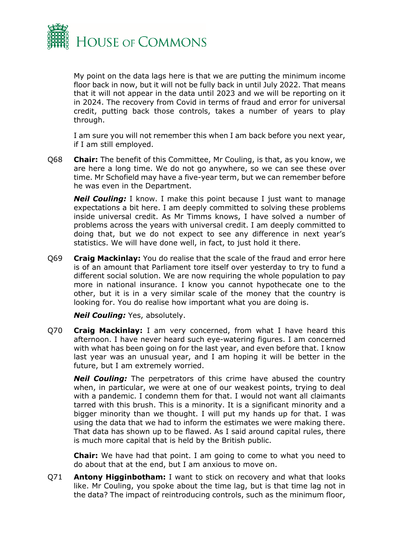

My point on the data lags here is that we are putting the minimum income floor back in now, but it will not be fully back in until July 2022. That means that it will not appear in the data until 2023 and we will be reporting on it in 2024. The recovery from Covid in terms of fraud and error for universal credit, putting back those controls, takes a number of years to play through.

I am sure you will not remember this when I am back before you next year, if I am still employed.

Q68 **Chair:** The benefit of this Committee, Mr Couling, is that, as you know, we are here a long time. We do not go anywhere, so we can see these over time. Mr Schofield may have a five-year term, but we can remember before he was even in the Department.

**Neil Couling:** I know. I make this point because I just want to manage expectations a bit here. I am deeply committed to solving these problems inside universal credit. As Mr Timms knows, I have solved a number of problems across the years with universal credit. I am deeply committed to doing that, but we do not expect to see any difference in next year's statistics. We will have done well, in fact, to just hold it there.

Q69 **Craig Mackinlay:** You do realise that the scale of the fraud and error here is of an amount that Parliament tore itself over yesterday to try to fund a different social solution. We are now requiring the whole population to pay more in national insurance. I know you cannot hypothecate one to the other, but it is in a very similar scale of the money that the country is looking for. You do realise how important what you are doing is.

*Neil Couling:* Yes, absolutely.

Q70 **Craig Mackinlay:** I am very concerned, from what I have heard this afternoon. I have never heard such eye-watering figures. I am concerned with what has been going on for the last year, and even before that. I know last year was an unusual year, and I am hoping it will be better in the future, but I am extremely worried.

*Neil Couling:* The perpetrators of this crime have abused the country when, in particular, we were at one of our weakest points, trying to deal with a pandemic. I condemn them for that. I would not want all claimants tarred with this brush. This is a minority. It is a significant minority and a bigger minority than we thought. I will put my hands up for that. I was using the data that we had to inform the estimates we were making there. That data has shown up to be flawed. As I said around capital rules, there is much more capital that is held by the British public.

**Chair:** We have had that point. I am going to come to what you need to do about that at the end, but I am anxious to move on.

Q71 **Antony Higginbotham:** I want to stick on recovery and what that looks like. Mr Couling, you spoke about the time lag, but is that time lag not in the data? The impact of reintroducing controls, such as the minimum floor,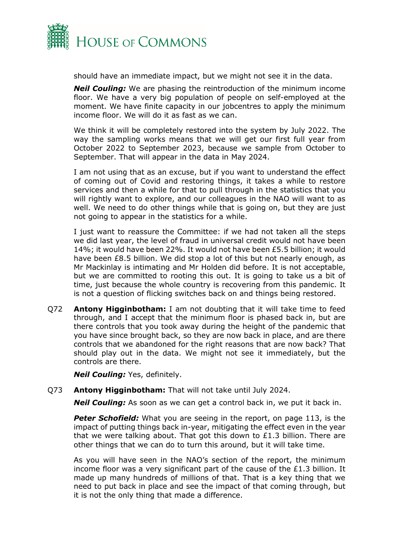

should have an immediate impact, but we might not see it in the data.

*Neil Couling:* We are phasing the reintroduction of the minimum income floor. We have a very big population of people on self-employed at the moment. We have finite capacity in our jobcentres to apply the minimum income floor. We will do it as fast as we can.

We think it will be completely restored into the system by July 2022. The way the sampling works means that we will get our first full year from October 2022 to September 2023, because we sample from October to September. That will appear in the data in May 2024.

I am not using that as an excuse, but if you want to understand the effect of coming out of Covid and restoring things, it takes a while to restore services and then a while for that to pull through in the statistics that you will rightly want to explore, and our colleagues in the NAO will want to as well. We need to do other things while that is going on, but they are just not going to appear in the statistics for a while.

I just want to reassure the Committee: if we had not taken all the steps we did last year, the level of fraud in universal credit would not have been 14%; it would have been 22%. It would not have been £5.5 billion; it would have been £8.5 billion. We did stop a lot of this but not nearly enough, as Mr Mackinlay is intimating and Mr Holden did before. It is not acceptable, but we are committed to rooting this out. It is going to take us a bit of time, just because the whole country is recovering from this pandemic. It is not a question of flicking switches back on and things being restored.

Q72 **Antony Higginbotham:** I am not doubting that it will take time to feed through, and I accept that the minimum floor is phased back in, but are there controls that you took away during the height of the pandemic that you have since brought back, so they are now back in place, and are there controls that we abandoned for the right reasons that are now back? That should play out in the data. We might not see it immediately, but the controls are there.

*Neil Couling:* Yes, definitely.

#### Q73 **Antony Higginbotham:** That will not take until July 2024.

*Neil Couling:* As soon as we can get a control back in, we put it back in.

**Peter Schofield:** What you are seeing in the report, on page 113, is the impact of putting things back in-year, mitigating the effect even in the year that we were talking about. That got this down to £1.3 billion. There are other things that we can do to turn this around, but it will take time.

As you will have seen in the NAO's section of the report, the minimum income floor was a very significant part of the cause of the £1.3 billion. It made up many hundreds of millions of that. That is a key thing that we need to put back in place and see the impact of that coming through, but it is not the only thing that made a difference.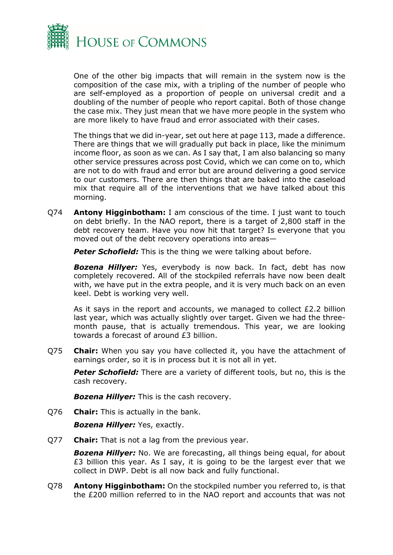

One of the other big impacts that will remain in the system now is the composition of the case mix, with a tripling of the number of people who are self-employed as a proportion of people on universal credit and a doubling of the number of people who report capital. Both of those change the case mix. They just mean that we have more people in the system who are more likely to have fraud and error associated with their cases.

The things that we did in-year, set out here at page 113, made a difference. There are things that we will gradually put back in place, like the minimum income floor, as soon as we can. As I say that, I am also balancing so many other service pressures across post Covid, which we can come on to, which are not to do with fraud and error but are around delivering a good service to our customers. There are then things that are baked into the caseload mix that require all of the interventions that we have talked about this morning.

Q74 **Antony Higginbotham:** I am conscious of the time. I just want to touch on debt briefly. In the NAO report, there is a target of 2,800 staff in the debt recovery team. Have you now hit that target? Is everyone that you moved out of the debt recovery operations into areas—

**Peter Schofield:** This is the thing we were talking about before.

*Bozena Hillyer:* Yes, everybody is now back. In fact, debt has now completely recovered. All of the stockpiled referrals have now been dealt with, we have put in the extra people, and it is very much back on an even keel. Debt is working very well.

As it says in the report and accounts, we managed to collect £2.2 billion last year, which was actually slightly over target. Given we had the threemonth pause, that is actually tremendous. This year, we are looking towards a forecast of around £3 billion.

Q75 **Chair:** When you say you have collected it, you have the attachment of earnings order, so it is in process but it is not all in yet.

*Peter Schofield:* There are a variety of different tools, but no, this is the cash recovery.

*Bozena Hillyer:* This is the cash recovery.

Q76 **Chair:** This is actually in the bank.

*Bozena Hillyer:* Yes, exactly.

Q77 **Chair:** That is not a lag from the previous year.

*Bozena Hillyer:* No. We are forecasting, all things being equal, for about £3 billion this year. As I say, it is going to be the largest ever that we collect in DWP. Debt is all now back and fully functional.

Q78 **Antony Higginbotham:** On the stockpiled number you referred to, is that the £200 million referred to in the NAO report and accounts that was not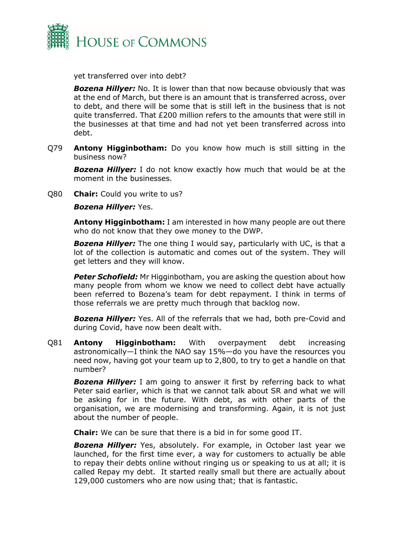

yet transferred over into debt?

*Bozena Hillyer:* No. It is lower than that now because obviously that was at the end of March, but there is an amount that is transferred across, over to debt, and there will be some that is still left in the business that is not quite transferred. That £200 million refers to the amounts that were still in the businesses at that time and had not yet been transferred across into debt.

Q79 **Antony Higginbotham:** Do you know how much is still sitting in the business now?

*Bozena Hillyer:* I do not know exactly how much that would be at the moment in the businesses.

Q80 **Chair:** Could you write to us?

*Bozena Hillyer:* Yes.

**Antony Higginbotham:** I am interested in how many people are out there who do not know that they owe money to the DWP.

*Bozena Hillyer:* The one thing I would say, particularly with UC, is that a lot of the collection is automatic and comes out of the system. They will get letters and they will know.

*Peter Schofield:* Mr Higginbotham, you are asking the question about how many people from whom we know we need to collect debt have actually been referred to Bozena's team for debt repayment. I think in terms of those referrals we are pretty much through that backlog now.

*Bozena Hillyer:* Yes. All of the referrals that we had, both pre-Covid and during Covid, have now been dealt with.

Q81 **Antony Higginbotham:** With overpayment debt increasing astronomically—I think the NAO say 15%—do you have the resources you need now, having got your team up to 2,800, to try to get a handle on that number?

**Bozena Hillyer:** I am going to answer it first by referring back to what Peter said earlier, which is that we cannot talk about SR and what we will be asking for in the future. With debt, as with other parts of the organisation, we are modernising and transforming. Again, it is not just about the number of people.

**Chair:** We can be sure that there is a bid in for some good IT.

*Bozena Hillyer:* Yes, absolutely. For example, in October last year we launched, for the first time ever, a way for customers to actually be able to repay their debts online without ringing us or speaking to us at all; it is called Repay my debt. It started really small but there are actually about 129,000 customers who are now using that; that is fantastic.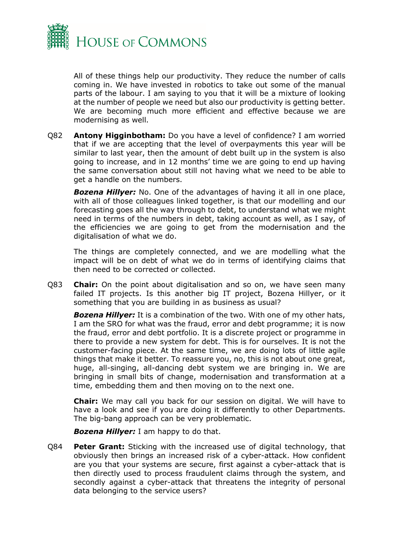

All of these things help our productivity. They reduce the number of calls coming in. We have invested in robotics to take out some of the manual parts of the labour. I am saying to you that it will be a mixture of looking at the number of people we need but also our productivity is getting better. We are becoming much more efficient and effective because we are modernising as well.

Q82 **Antony Higginbotham:** Do you have a level of confidence? I am worried that if we are accepting that the level of overpayments this year will be similar to last year, then the amount of debt built up in the system is also going to increase, and in 12 months' time we are going to end up having the same conversation about still not having what we need to be able to get a handle on the numbers.

*Bozena Hillyer:* No. One of the advantages of having it all in one place, with all of those colleagues linked together, is that our modelling and our forecasting goes all the way through to debt, to understand what we might need in terms of the numbers in debt, taking account as well, as I say, of the efficiencies we are going to get from the modernisation and the digitalisation of what we do.

The things are completely connected, and we are modelling what the impact will be on debt of what we do in terms of identifying claims that then need to be corrected or collected.

Q83 **Chair:** On the point about digitalisation and so on, we have seen many failed IT projects. Is this another big IT project, Bozena Hillyer, or it something that you are building in as business as usual?

*Bozena Hillyer:* It is a combination of the two. With one of my other hats, I am the SRO for what was the fraud, error and debt programme; it is now the fraud, error and debt portfolio. It is a discrete project or programme in there to provide a new system for debt. This is for ourselves. It is not the customer-facing piece. At the same time, we are doing lots of little agile things that make it better. To reassure you, no, this is not about one great, huge, all-singing, all-dancing debt system we are bringing in. We are bringing in small bits of change, modernisation and transformation at a time, embedding them and then moving on to the next one.

**Chair:** We may call you back for our session on digital. We will have to have a look and see if you are doing it differently to other Departments. The big-bang approach can be very problematic.

*Bozena Hillyer:* I am happy to do that.

Q84 **Peter Grant:** Sticking with the increased use of digital technology, that obviously then brings an increased risk of a cyber-attack. How confident are you that your systems are secure, first against a cyber-attack that is then directly used to process fraudulent claims through the system, and secondly against a cyber-attack that threatens the integrity of personal data belonging to the service users?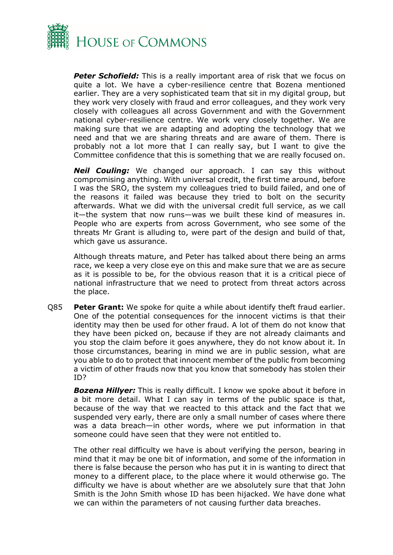

**Peter Schofield:** This is a really important area of risk that we focus on quite a lot. We have a cyber-resilience centre that Bozena mentioned earlier. They are a very sophisticated team that sit in my digital group, but they work very closely with fraud and error colleagues, and they work very closely with colleagues all across Government and with the Government national cyber-resilience centre. We work very closely together. We are making sure that we are adapting and adopting the technology that we need and that we are sharing threats and are aware of them. There is probably not a lot more that I can really say, but I want to give the Committee confidence that this is something that we are really focused on.

*Neil Couling:* We changed our approach. I can say this without compromising anything. With universal credit, the first time around, before I was the SRO, the system my colleagues tried to build failed, and one of the reasons it failed was because they tried to bolt on the security afterwards. What we did with the universal credit full service, as we call it—the system that now runs—was we built these kind of measures in. People who are experts from across Government, who see some of the threats Mr Grant is alluding to, were part of the design and build of that, which gave us assurance.

Although threats mature, and Peter has talked about there being an arms race, we keep a very close eye on this and make sure that we are as secure as it is possible to be, for the obvious reason that it is a critical piece of national infrastructure that we need to protect from threat actors across the place.

Q85 **Peter Grant:** We spoke for quite a while about identify theft fraud earlier. One of the potential consequences for the innocent victims is that their identity may then be used for other fraud. A lot of them do not know that they have been picked on, because if they are not already claimants and you stop the claim before it goes anywhere, they do not know about it. In those circumstances, bearing in mind we are in public session, what are you able to do to protect that innocent member of the public from becoming a victim of other frauds now that you know that somebody has stolen their ID?

*Bozena Hillyer:* This is really difficult. I know we spoke about it before in a bit more detail. What I can say in terms of the public space is that, because of the way that we reacted to this attack and the fact that we suspended very early, there are only a small number of cases where there was a data breach—in other words, where we put information in that someone could have seen that they were not entitled to.

The other real difficulty we have is about verifying the person, bearing in mind that it may be one bit of information, and some of the information in there is false because the person who has put it in is wanting to direct that money to a different place, to the place where it would otherwise go. The difficulty we have is about whether are we absolutely sure that that John Smith is the John Smith whose ID has been hijacked. We have done what we can within the parameters of not causing further data breaches.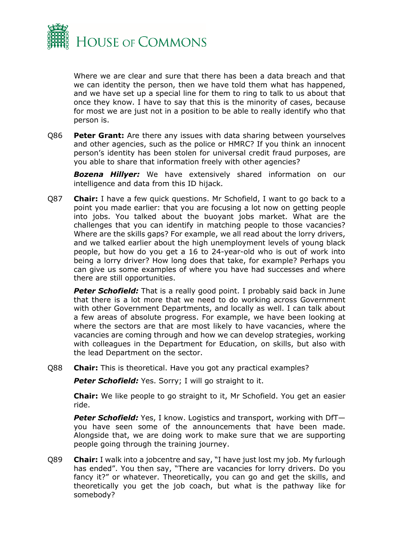

Where we are clear and sure that there has been a data breach and that we can identity the person, then we have told them what has happened, and we have set up a special line for them to ring to talk to us about that once they know. I have to say that this is the minority of cases, because for most we are just not in a position to be able to really identify who that person is.

Q86 **Peter Grant:** Are there any issues with data sharing between yourselves and other agencies, such as the police or HMRC? If you think an innocent person's identity has been stolen for universal credit fraud purposes, are you able to share that information freely with other agencies?

*Bozena Hillyer:* We have extensively shared information on our intelligence and data from this ID hijack.

Q87 **Chair:** I have a few quick questions. Mr Schofield, I want to go back to a point you made earlier: that you are focusing a lot now on getting people into jobs. You talked about the buoyant jobs market. What are the challenges that you can identify in matching people to those vacancies? Where are the skills gaps? For example, we all read about the lorry drivers, and we talked earlier about the high unemployment levels of young black people, but how do you get a 16 to 24-year-old who is out of work into being a lorry driver? How long does that take, for example? Perhaps you can give us some examples of where you have had successes and where there are still opportunities.

**Peter Schofield:** That is a really good point. I probably said back in June that there is a lot more that we need to do working across Government with other Government Departments, and locally as well. I can talk about a few areas of absolute progress. For example, we have been looking at where the sectors are that are most likely to have vacancies, where the vacancies are coming through and how we can develop strategies, working with colleagues in the Department for Education, on skills, but also with the lead Department on the sector.

Q88 **Chair:** This is theoretical. Have you got any practical examples?

Peter Schofield: Yes. Sorry; I will go straight to it.

**Chair:** We like people to go straight to it, Mr Schofield. You get an easier ride.

**Peter Schofield:** Yes, I know. Logistics and transport, working with DfTyou have seen some of the announcements that have been made. Alongside that, we are doing work to make sure that we are supporting people going through the training journey.

Q89 **Chair:** I walk into a jobcentre and say, "I have just lost my job. My furlough has ended". You then say, "There are vacancies for lorry drivers. Do you fancy it?" or whatever. Theoretically, you can go and get the skills, and theoretically you get the job coach, but what is the pathway like for somebody?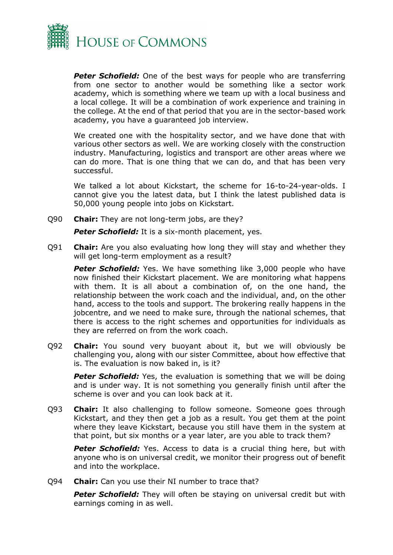

**Peter Schofield:** One of the best ways for people who are transferring from one sector to another would be something like a sector work academy, which is something where we team up with a local business and a local college. It will be a combination of work experience and training in the college. At the end of that period that you are in the sector-based work academy, you have a guaranteed job interview.

We created one with the hospitality sector, and we have done that with various other sectors as well. We are working closely with the construction industry. Manufacturing, logistics and transport are other areas where we can do more. That is one thing that we can do, and that has been very successful.

We talked a lot about Kickstart, the scheme for 16-to-24-year-olds. I cannot give you the latest data, but I think the latest published data is 50,000 young people into jobs on Kickstart.

Q90 **Chair:** They are not long-term jobs, are they?

**Peter Schofield:** It is a six-month placement, yes.

Q91 **Chair:** Are you also evaluating how long they will stay and whether they will get long-term employment as a result?

**Peter Schofield:** Yes. We have something like 3,000 people who have now finished their Kickstart placement. We are monitoring what happens with them. It is all about a combination of, on the one hand, the relationship between the work coach and the individual, and, on the other hand, access to the tools and support. The brokering really happens in the jobcentre, and we need to make sure, through the national schemes, that there is access to the right schemes and opportunities for individuals as they are referred on from the work coach.

Q92 **Chair:** You sound very buoyant about it, but we will obviously be challenging you, along with our sister Committee, about how effective that is. The evaluation is now baked in, is it?

**Peter Schofield:** Yes, the evaluation is something that we will be doing and is under way. It is not something you generally finish until after the scheme is over and you can look back at it.

Q93 **Chair:** It also challenging to follow someone. Someone goes through Kickstart, and they then get a job as a result. You get them at the point where they leave Kickstart, because you still have them in the system at that point, but six months or a year later, are you able to track them?

**Peter Schofield:** Yes. Access to data is a crucial thing here, but with anyone who is on universal credit, we monitor their progress out of benefit and into the workplace.

Q94 **Chair:** Can you use their NI number to trace that?

**Peter Schofield:** They will often be staying on universal credit but with earnings coming in as well.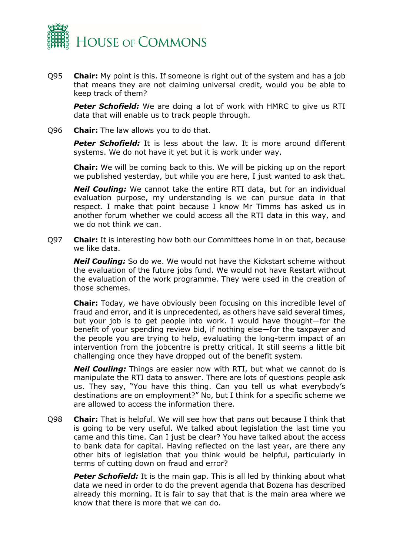

Q95 **Chair:** My point is this. If someone is right out of the system and has a job that means they are not claiming universal credit, would you be able to keep track of them?

**Peter Schofield:** We are doing a lot of work with HMRC to give us RTI data that will enable us to track people through.

Q96 **Chair:** The law allows you to do that.

**Peter Schofield:** It is less about the law. It is more around different systems. We do not have it yet but it is work under way.

**Chair:** We will be coming back to this. We will be picking up on the report we published yesterday, but while you are here, I just wanted to ask that.

*Neil Couling:* We cannot take the entire RTI data, but for an individual evaluation purpose, my understanding is we can pursue data in that respect. I make that point because I know Mr Timms has asked us in another forum whether we could access all the RTI data in this way, and we do not think we can.

Q97 **Chair:** It is interesting how both our Committees home in on that, because we like data.

*Neil Couling:* So do we. We would not have the Kickstart scheme without the evaluation of the future jobs fund. We would not have Restart without the evaluation of the work programme. They were used in the creation of those schemes.

**Chair:** Today, we have obviously been focusing on this incredible level of fraud and error, and it is unprecedented, as others have said several times, but your job is to get people into work. I would have thought—for the benefit of your spending review bid, if nothing else—for the taxpayer and the people you are trying to help, evaluating the long-term impact of an intervention from the jobcentre is pretty critical. It still seems a little bit challenging once they have dropped out of the benefit system.

*Neil Couling:* Things are easier now with RTI, but what we cannot do is manipulate the RTI data to answer. There are lots of questions people ask us. They say, "You have this thing. Can you tell us what everybody's destinations are on employment?" No, but I think for a specific scheme we are allowed to access the information there.

Q98 **Chair:** That is helpful. We will see how that pans out because I think that is going to be very useful. We talked about legislation the last time you came and this time. Can I just be clear? You have talked about the access to bank data for capital. Having reflected on the last year, are there any other bits of legislation that you think would be helpful, particularly in terms of cutting down on fraud and error?

**Peter Schofield:** It is the main gap. This is all led by thinking about what data we need in order to do the prevent agenda that Bozena has described already this morning. It is fair to say that that is the main area where we know that there is more that we can do.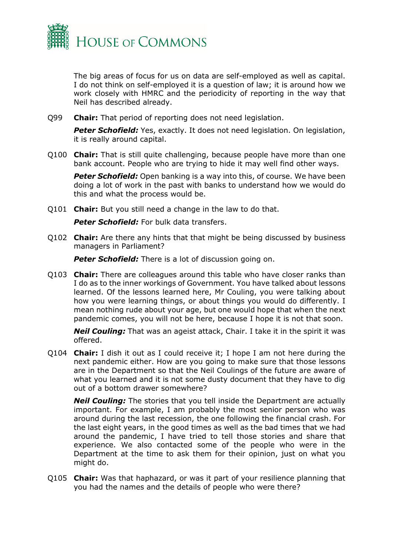

The big areas of focus for us on data are self-employed as well as capital. I do not think on self-employed it is a question of law; it is around how we work closely with HMRC and the periodicity of reporting in the way that Neil has described already.

Q99 **Chair:** That period of reporting does not need legislation.

**Peter Schofield:** Yes, exactly. It does not need legislation. On legislation, it is really around capital.

Q100 **Chair:** That is still quite challenging, because people have more than one bank account. People who are trying to hide it may well find other ways.

**Peter Schofield:** Open banking is a way into this, of course. We have been doing a lot of work in the past with banks to understand how we would do this and what the process would be.

Q101 **Chair:** But you still need a change in the law to do that.

**Peter Schofield:** For bulk data transfers.

Q102 **Chair:** Are there any hints that that might be being discussed by business managers in Parliament?

**Peter Schofield:** There is a lot of discussion going on.

Q103 **Chair:** There are colleagues around this table who have closer ranks than I do as to the inner workings of Government. You have talked about lessons learned. Of the lessons learned here, Mr Couling, you were talking about how you were learning things, or about things you would do differently. I mean nothing rude about your age, but one would hope that when the next pandemic comes, you will not be here, because I hope it is not that soon.

*Neil Couling:* That was an ageist attack, Chair. I take it in the spirit it was offered.

Q104 **Chair:** I dish it out as I could receive it; I hope I am not here during the next pandemic either. How are you going to make sure that those lessons are in the Department so that the Neil Coulings of the future are aware of what you learned and it is not some dusty document that they have to dig out of a bottom drawer somewhere?

*Neil Couling:* The stories that you tell inside the Department are actually important. For example, I am probably the most senior person who was around during the last recession, the one following the financial crash. For the last eight years, in the good times as well as the bad times that we had around the pandemic, I have tried to tell those stories and share that experience. We also contacted some of the people who were in the Department at the time to ask them for their opinion, just on what you might do.

Q105 **Chair:** Was that haphazard, or was it part of your resilience planning that you had the names and the details of people who were there?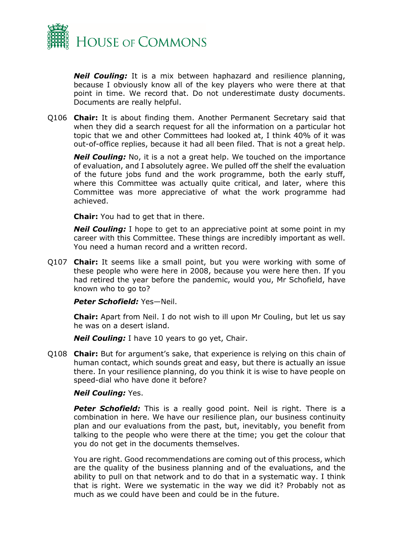

*Neil Couling:* It is a mix between haphazard and resilience planning, because I obviously know all of the key players who were there at that point in time. We record that. Do not underestimate dusty documents. Documents are really helpful.

Q106 **Chair:** It is about finding them. Another Permanent Secretary said that when they did a search request for all the information on a particular hot topic that we and other Committees had looked at, I think 40% of it was out-of-office replies, because it had all been filed. That is not a great help.

*Neil Couling:* No, it is a not a great help. We touched on the importance of evaluation, and I absolutely agree. We pulled off the shelf the evaluation of the future jobs fund and the work programme, both the early stuff, where this Committee was actually quite critical, and later, where this Committee was more appreciative of what the work programme had achieved.

**Chair:** You had to get that in there.

*Neil Couling:* I hope to get to an appreciative point at some point in my career with this Committee. These things are incredibly important as well. You need a human record and a written record.

Q107 **Chair:** It seems like a small point, but you were working with some of these people who were here in 2008, because you were here then. If you had retired the year before the pandemic, would you, Mr Schofield, have known who to go to?

*Peter Schofield:* Yes—Neil.

**Chair:** Apart from Neil. I do not wish to ill upon Mr Couling, but let us say he was on a desert island.

*Neil Couling:* I have 10 years to go yet, Chair.

Q108 **Chair:** But for argument's sake, that experience is relying on this chain of human contact, which sounds great and easy, but there is actually an issue there. In your resilience planning, do you think it is wise to have people on speed-dial who have done it before?

#### *Neil Couling:* Yes.

**Peter Schofield:** This is a really good point. Neil is right. There is a combination in here. We have our resilience plan, our business continuity plan and our evaluations from the past, but, inevitably, you benefit from talking to the people who were there at the time; you get the colour that you do not get in the documents themselves.

You are right. Good recommendations are coming out of this process, which are the quality of the business planning and of the evaluations, and the ability to pull on that network and to do that in a systematic way. I think that is right. Were we systematic in the way we did it? Probably not as much as we could have been and could be in the future.